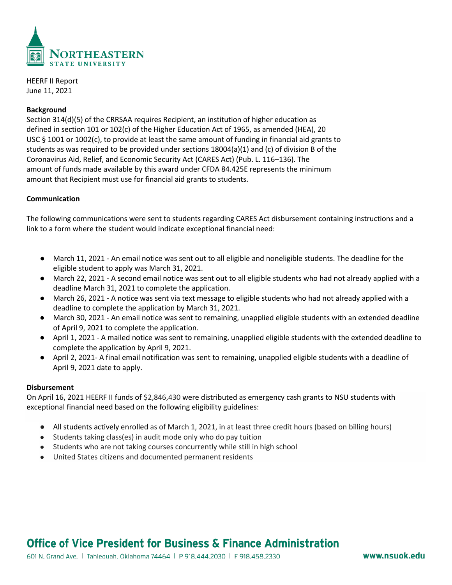

HEERF II Report June 11, 2021

## **Background**

Section 314(d)(5) of the CRRSAA requires Recipient, an institution of higher education as defined in section 101 or 102(c) of the Higher Education Act of 1965, as amended (HEA), 20 USC § 1001 or 1002(c), to provide at least the same amount of funding in financial aid grants to students as was required to be provided under sections  $18004(a)(1)$  and (c) of division B of the Coronavirus Aid, Relief, and Economic Security Act (CARES Act) (Pub. L. 116–136). The amount of funds made available by this award under CFDA 84.425E represents the minimum amount that Recipient must use for financial aid grants to students.

## **Communication**

The following communications were sent to students regarding CARES Act disbursement containing instructions and a link to a form where the student would indicate exceptional financial need:

- March 11, 2021 An email notice was sent out to all eligible and noneligible students. The deadline for the eligible student to apply was March 31, 2021.
- March 22, 2021 A second email notice was sent out to all eligible students who had not already applied with a deadline March 31, 2021 to complete the application.
- March 26, 2021 A notice was sent via text message to eligible students who had not already applied with a deadline to complete the application by March 31, 2021.
- March 30, 2021 An email notice was sent to remaining, unapplied eligible students with an extended deadline of April 9, 2021 to complete the application.
- April 1, 2021 A mailed notice was sent to remaining, unapplied eligible students with the extended deadline to complete the application by April 9, 2021.
- April 2, 2021- A final email notification was sent to remaining, unapplied eligible students with a deadline of April 9, 2021 date to apply.

#### **Disbursement**

On April 16, 2021 HEERF II funds of \$2,846,430 were distributed as emergency cash grants to NSU students with exceptional financial need based on the following eligibility guidelines:

- All students actively enrolled as of March 1, 2021, in at least three credit hours (based on billing hours)
- Students taking class(es) in audit mode only who do pay tuition
- Students who are not taking courses concurrently while still in high school
- United States citizens and documented permanent residents

# Office of Vice President for Business & Finance Administration